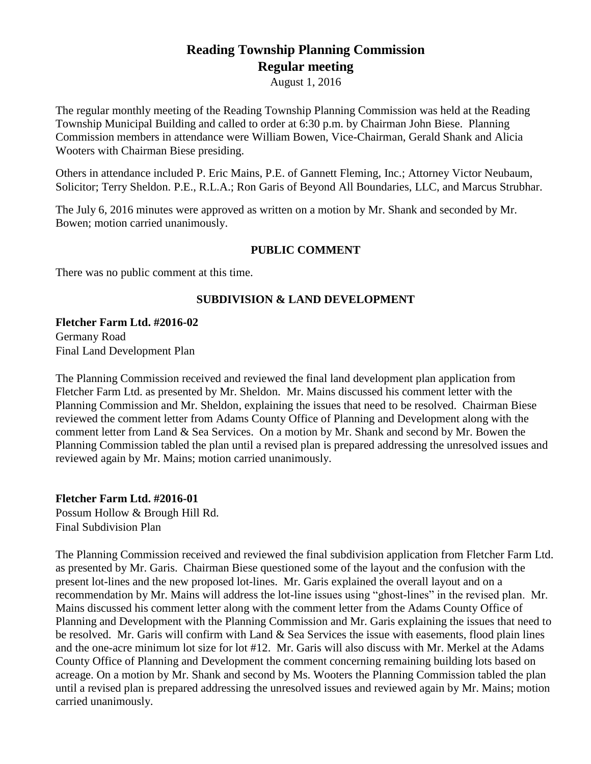# **Reading Township Planning Commission Regular meeting**

August 1, 2016

The regular monthly meeting of the Reading Township Planning Commission was held at the Reading Township Municipal Building and called to order at 6:30 p.m. by Chairman John Biese. Planning Commission members in attendance were William Bowen, Vice-Chairman, Gerald Shank and Alicia Wooters with Chairman Biese presiding.

Others in attendance included P. Eric Mains, P.E. of Gannett Fleming, Inc.; Attorney Victor Neubaum, Solicitor; Terry Sheldon. P.E., R.L.A.; Ron Garis of Beyond All Boundaries, LLC, and Marcus Strubhar.

The July 6, 2016 minutes were approved as written on a motion by Mr. Shank and seconded by Mr. Bowen; motion carried unanimously.

# **PUBLIC COMMENT**

There was no public comment at this time.

## **SUBDIVISION & LAND DEVELOPMENT**

**Fletcher Farm Ltd. #2016-02** Germany Road

Final Land Development Plan

The Planning Commission received and reviewed the final land development plan application from Fletcher Farm Ltd. as presented by Mr. Sheldon. Mr. Mains discussed his comment letter with the Planning Commission and Mr. Sheldon, explaining the issues that need to be resolved. Chairman Biese reviewed the comment letter from Adams County Office of Planning and Development along with the comment letter from Land & Sea Services. On a motion by Mr. Shank and second by Mr. Bowen the Planning Commission tabled the plan until a revised plan is prepared addressing the unresolved issues and reviewed again by Mr. Mains; motion carried unanimously.

**Fletcher Farm Ltd. #2016-01** Possum Hollow & Brough Hill Rd. Final Subdivision Plan

The Planning Commission received and reviewed the final subdivision application from Fletcher Farm Ltd. as presented by Mr. Garis. Chairman Biese questioned some of the layout and the confusion with the present lot-lines and the new proposed lot-lines. Mr. Garis explained the overall layout and on a recommendation by Mr. Mains will address the lot-line issues using "ghost-lines" in the revised plan. Mr. Mains discussed his comment letter along with the comment letter from the Adams County Office of Planning and Development with the Planning Commission and Mr. Garis explaining the issues that need to be resolved. Mr. Garis will confirm with Land & Sea Services the issue with easements, flood plain lines and the one-acre minimum lot size for lot #12. Mr. Garis will also discuss with Mr. Merkel at the Adams County Office of Planning and Development the comment concerning remaining building lots based on acreage. On a motion by Mr. Shank and second by Ms. Wooters the Planning Commission tabled the plan until a revised plan is prepared addressing the unresolved issues and reviewed again by Mr. Mains; motion carried unanimously.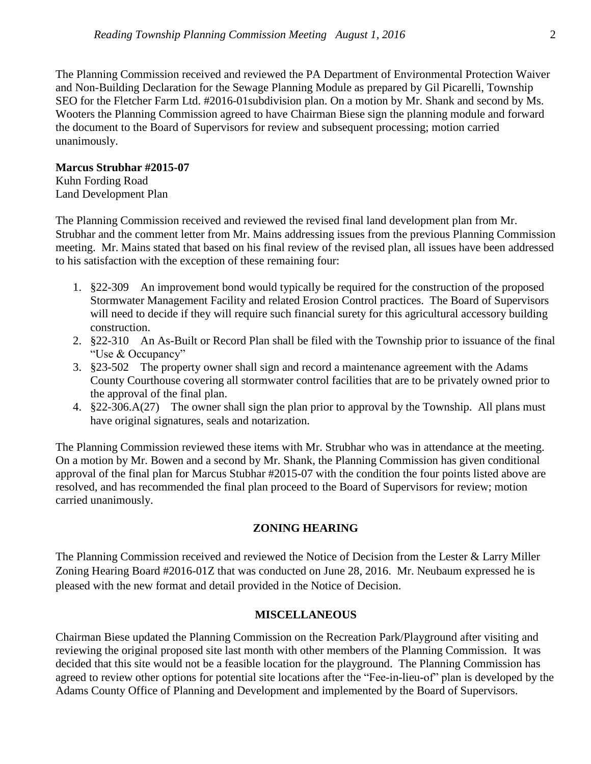The Planning Commission received and reviewed the PA Department of Environmental Protection Waiver and Non-Building Declaration for the Sewage Planning Module as prepared by Gil Picarelli, Township SEO for the Fletcher Farm Ltd. #2016-01subdivision plan. On a motion by Mr. Shank and second by Ms. Wooters the Planning Commission agreed to have Chairman Biese sign the planning module and forward the document to the Board of Supervisors for review and subsequent processing; motion carried unanimously.

### **Marcus Strubhar #2015-07**

Kuhn Fording Road Land Development Plan

The Planning Commission received and reviewed the revised final land development plan from Mr. Strubhar and the comment letter from Mr. Mains addressing issues from the previous Planning Commission meeting. Mr. Mains stated that based on his final review of the revised plan, all issues have been addressed to his satisfaction with the exception of these remaining four:

- 1. §22-309 An improvement bond would typically be required for the construction of the proposed Stormwater Management Facility and related Erosion Control practices. The Board of Supervisors will need to decide if they will require such financial surety for this agricultural accessory building construction.
- 2. §22-310 An As-Built or Record Plan shall be filed with the Township prior to issuance of the final "Use & Occupancy"
- 3. §23-502 The property owner shall sign and record a maintenance agreement with the Adams County Courthouse covering all stormwater control facilities that are to be privately owned prior to the approval of the final plan.
- 4. §22-306.A(27) The owner shall sign the plan prior to approval by the Township. All plans must have original signatures, seals and notarization.

The Planning Commission reviewed these items with Mr. Strubhar who was in attendance at the meeting. On a motion by Mr. Bowen and a second by Mr. Shank, the Planning Commission has given conditional approval of the final plan for Marcus Stubhar #2015-07 with the condition the four points listed above are resolved, and has recommended the final plan proceed to the Board of Supervisors for review; motion carried unanimously.

# **ZONING HEARING**

The Planning Commission received and reviewed the Notice of Decision from the Lester & Larry Miller Zoning Hearing Board #2016-01Z that was conducted on June 28, 2016. Mr. Neubaum expressed he is pleased with the new format and detail provided in the Notice of Decision.

#### **MISCELLANEOUS**

Chairman Biese updated the Planning Commission on the Recreation Park/Playground after visiting and reviewing the original proposed site last month with other members of the Planning Commission. It was decided that this site would not be a feasible location for the playground. The Planning Commission has agreed to review other options for potential site locations after the "Fee-in-lieu-of" plan is developed by the Adams County Office of Planning and Development and implemented by the Board of Supervisors.